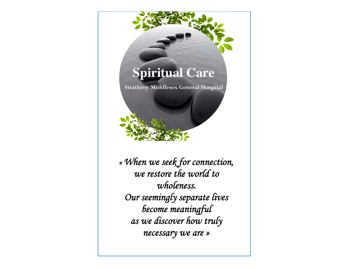# **Spiritual Care**

**Strathroy Middlesex General Hospital** 



*« When we seek for connection, we restore the world to wholeness. Our seemingly separate lives become meaningful as we discover how truly necessary we are »*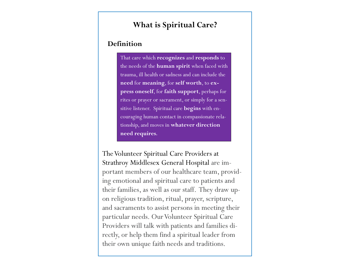### **What is Spiritual Care?**

#### **Definition**

That care which **recognizes** and **responds** to the needs of the **human spirit** when faced with trauma, ill health or sadness and can include the **need** for **meaning**, for **self worth**, to **express oneself**, for **faith support**, perhaps for rites or prayer or sacrament, or simply for a sensitive listener. Spiritual care **begins** with encouraging human contact in compassionate relationship, and moves in **whatever direction need requires.** 

The Volunteer Spiritual Care Providers at Strathroy Middlesex General Hospital are important members of our healthcare team, providing emotional and spiritual care to patients and their families, as well as our staff. They draw upon religious tradition, ritual, prayer, scripture, and sacraments to assist persons in meeting their particular needs. Our Volunteer Spiritual Care Providers will talk with patients and families directly, or help them find a spiritual leader from their own unique faith needs and traditions.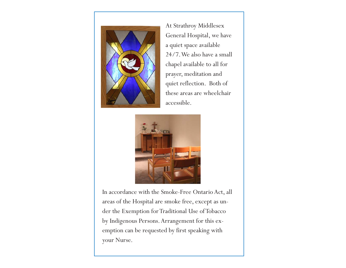

At Strathroy Middlesex General Hospital, we have a quiet space available 24/7. We also have a small chapel available to all for prayer, meditation and quiet reflection. Both of these areas are wheelchair accessible.



In accordance with the Smoke-Free Ontario Act, all areas of the Hospital are smoke free, except as under the Exemption for Traditional Use of Tobacco by Indigenous Persons. Arrangement for this exemption can be requested by first speaking with your Nurse.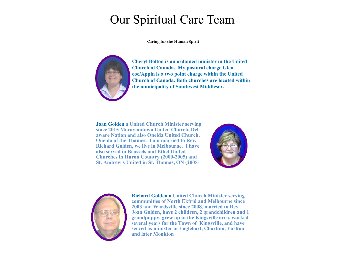## Our Spiritual Care Team

**Caring for the Human Spirit** 



**Cheryl Bolton is an ordained minister in the United Church of Canada. My pastoral charge Glencoe/Appin is a two point charge within the United Church of Canada. Both churches are located within the municipality of Southwest Middlesex.** 

**Joan Golden a United Church Minister serving since 2015 Moraviantown United Church, Delaware Nation and also Oneida United Church, Oneida of the Thames. I am married to Rev. Richard Golden, we live in Melbourne. I have also served in Brussels and Ethel United Churches in Huron Country (2000-2005) and St. Andrew's United in St. Thomas, ON (2005-**





**Richard Golden a United Church Minister serving communities of North Ekfrid and Melbourne since 2003 and Wardsville since 2008, married to Rev. Joan Golden, have 2 children, 2 grandchildren and 1 grandpuppy, grew up in the Kingsville area, worked several years for the Town of Kingsville, and have served as minister in Englehart, Charlton, Earlton and later Monkton**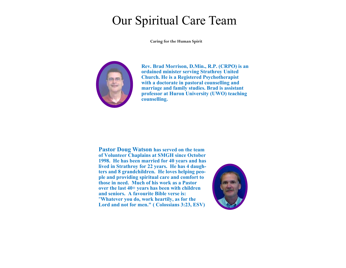## Our Spiritual Care Team

**Caring for the Human Spirit** 



**Rev. Brad Morrison, D.Min., R.P. (CRPO) is an ordained minister serving Strathroy United Church. He is a Registered Psychotherapist with a doctorate in pastoral counselling and marriage and family studies. Brad is assistant professor at Huron University (UWO) teaching counselling.** 

**Pastor Doug Watson has served on the team of Volunteer Chaplains at SMGH since October 1998. He has been married for 40 years and has lived in Strathroy for 22 years. He has 4 daughters and 8 grandchildren. He loves helping people and providing spiritual care and comfort to those in need. Much of his work as a Pastor over the last 40+ years has been with children and seniors. A favourite Bible verse is:** "**Whatever you do, work heartily, as for the Lord and not for men." ( Colossians 3:23, ESV)** 

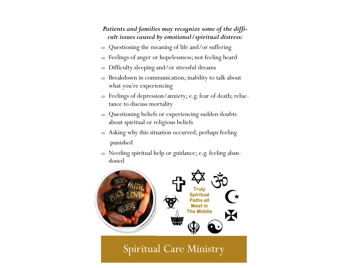#### *Patients and families may recognize some of the difficult issues caused by emotional/spiritual distress:*

- $\Rightarrow$  Questioning the meaning of life and/or suffering
- $\Rightarrow$  Feelings of anger or hopelessness; not feeling heard
- $\Rightarrow$  Difficulty sleeping and/or stressful dreams
- $\Rightarrow$  Breakdown in communication; inability to talk about what you're experiencing
- $\Rightarrow$  Feelings of depression/anxiety; e.g. fear of death; reluctance to discuss mortality
- $\Rightarrow$  Questioning beliefs or experiencing sudden doubts about spiritual or religious beliefs
- $\Rightarrow$  Asking why this situation occurred; perhaps feeling punished
- $\Rightarrow$  Needing spiritual help or guidance; e.g. feeling abandoned



### Spiritual Care Ministry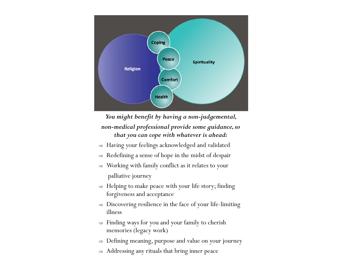

*You might benefit by having a non-judgemental, non-medical professional provide some guidance, so that you can cope with whatever is ahead:* 

- $\Rightarrow$  Having your feelings acknowledged and validated
- $\Rightarrow$  Redefining a sense of hope in the midst of despair
- $\Rightarrow$  Working with family conflict as it relates to your palliative journey
- $\Rightarrow$  Helping to make peace with your life story; finding forgiveness and acceptance
- $\Rightarrow$  Discovering resilience in the face of your life-limiting illness
- $\Rightarrow$  Finding ways for you and your family to cherish memories (legacy work)
- $\Rightarrow$  Defining meaning, purpose and value on your journey
- $\Rightarrow$  Addressing any rituals that bring inner peace